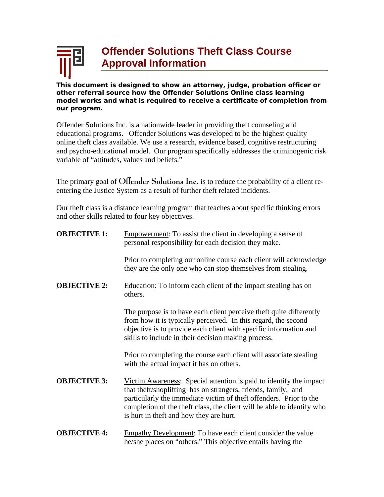

**This document is designed to show an attorney, judge, probation officer or other referral source how the Offender Solutions Online class learning model works and what is required to receive a certificate of completion from our program.** 

Offender Solutions Inc. is a nationwide leader in providing theft counseling and educational programs. Offender Solutions was developed to be the highest quality online theft class available. We use a research, evidence based, cognitive restructuring and psycho-educational model. Our program specifically addresses the criminogenic risk variable of "attitudes, values and beliefs."

The primary goal of Offender Solutions Inc. is to reduce the probability of a client reentering the Justice System as a result of further theft related incidents.

Our theft class is a distance learning program that teaches about specific thinking errors and other skills related to four key objectives.

| <b>OBJECTIVE 1:</b> | <b>Empowerment:</b> To assist the client in developing a sense of<br>personal responsibility for each decision they make.                                                                                                                                                                                                       |
|---------------------|---------------------------------------------------------------------------------------------------------------------------------------------------------------------------------------------------------------------------------------------------------------------------------------------------------------------------------|
|                     | Prior to completing our online course each client will acknowledge<br>they are the only one who can stop themselves from stealing.                                                                                                                                                                                              |
| <b>OBJECTIVE 2:</b> | Education: To inform each client of the impact stealing has on<br>others.                                                                                                                                                                                                                                                       |
|                     | The purpose is to have each client perceive theft quite differently<br>from how it is typically perceived. In this regard, the second<br>objective is to provide each client with specific information and<br>skills to include in their decision making process.                                                               |
|                     | Prior to completing the course each client will associate stealing<br>with the actual impact it has on others.                                                                                                                                                                                                                  |
| <b>OBJECTIVE 3:</b> | Victim Awareness: Special attention is paid to identify the impact<br>that the ft/shoplifting has on strangers, friends, family, and<br>particularly the immediate victim of theft offenders. Prior to the<br>completion of the theft class, the client will be able to identify who<br>is hurt in theft and how they are hurt. |
| <b>OBJECTIVE 4:</b> | Empathy Development: To have each client consider the value<br>he/she places on "others." This objective entails having the                                                                                                                                                                                                     |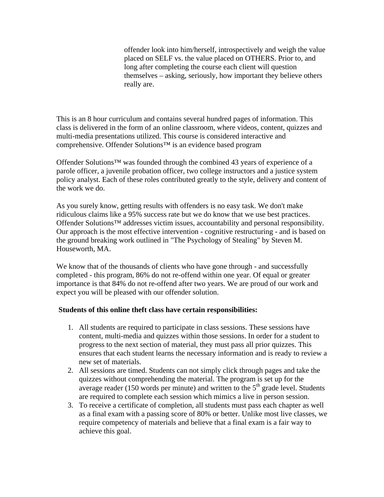offender look into him/herself, introspectively and weigh the value placed on SELF vs. the value placed on OTHERS. Prior to, and long after completing the course each client will question themselves – asking, seriously, how important they believe others really are.

This is an 8 hour curriculum and contains several hundred pages of information. This class is delivered in the form of an online classroom, where videos, content, quizzes and multi-media presentations utilized. This course is considered interactive and comprehensive. Offender Solutions™ is an evidence based program

Offender Solutions™ was founded through the combined 43 years of experience of a parole officer, a juvenile probation officer, two college instructors and a justice system policy analyst. Each of these roles contributed greatly to the style, delivery and content of the work we do.

As you surely know, getting results with offenders is no easy task. We don't make ridiculous claims like a 95% success rate but we do know that we use best practices. Offender Solutions™ addresses victim issues, accountability and personal responsibility. Our approach is the most effective intervention - cognitive restructuring - and is based on the ground breaking work outlined in "The Psychology of Stealing" by Steven M. Houseworth, MA.

We know that of the thousands of clients who have gone through - and successfully completed - this program, 86% do not re-offend within one year. Of equal or greater importance is that 84% do not re-offend after two years. We are proud of our work and expect you will be pleased with our offender solution.

## **Students of this online theft class have certain responsibilities:**

- 1. All students are required to participate in class sessions. These sessions have content, multi-media and quizzes within those sessions. In order for a student to progress to the next section of material, they must pass all prior quizzes. This ensures that each student learns the necessary information and is ready to review a new set of materials.
- 2. All sessions are timed. Students can not simply click through pages and take the quizzes without comprehending the material. The program is set up for the average reader (150 words per minute) and written to the  $5<sup>th</sup>$  grade level. Students are required to complete each session which mimics a live in person session.
- 3. To receive a certificate of completion, all students must pass each chapter as well as a final exam with a passing score of 80% or better. Unlike most live classes, we require competency of materials and believe that a final exam is a fair way to achieve this goal.